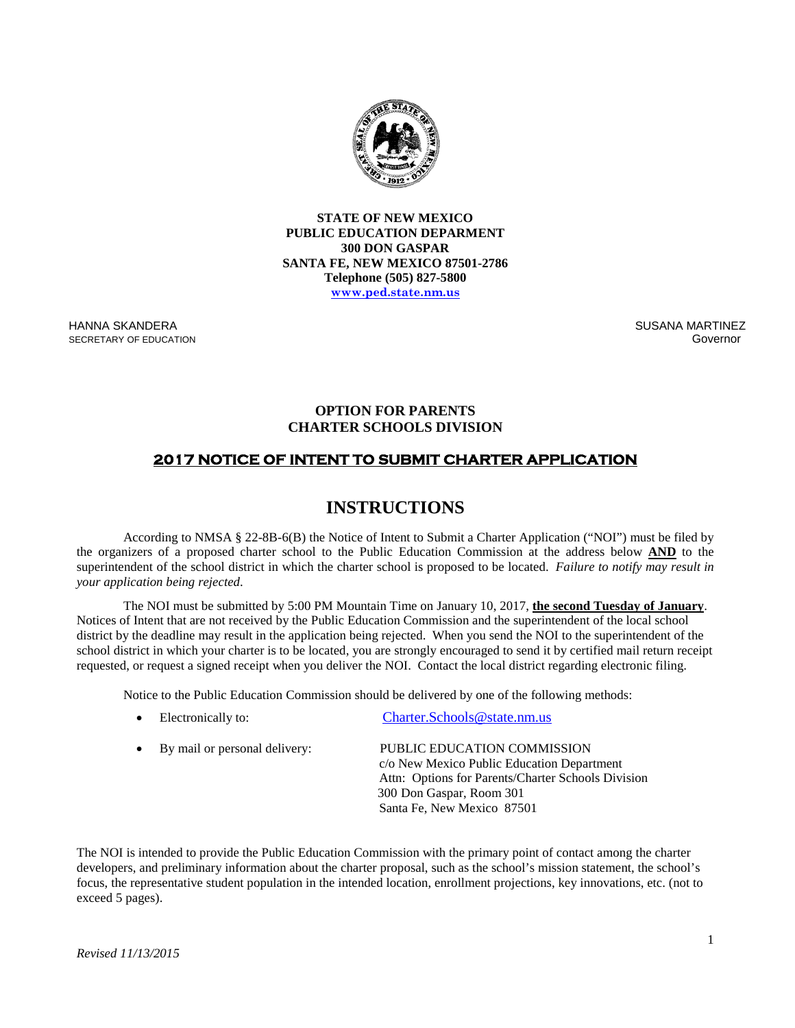

**STATE OF NEW MEXICO PUBLIC EDUCATION DEPARMENT 300 DON GASPAR SANTA FE, NEW MEXICO 87501-2786 Telephone (505) 827-5800 [www.ped.state.nm.us](http://www.sde.state.nm.us/)**

HANNA SKANDERA SECRETARY OF EDUCATION

 SUSANA MARTINEZ Governor (1999) and the contract of the contract of the contract of the Governor (1999) and the contract of th

## **OPTION FOR PARENTS CHARTER SCHOOLS DIVISION**

## **2017 NOTICE OF INTENT TO SUBMIT CHARTER APPLICATION**

## **INSTRUCTIONS**

According to NMSA § 22-8B-6(B) the Notice of Intent to Submit a Charter Application ("NOI") must be filed by the organizers of a proposed charter school to the Public Education Commission at the address below **AND** to the superintendent of the school district in which the charter school is proposed to be located. *Failure to notify may result in your application being rejected*.

The NOI must be submitted by 5:00 PM Mountain Time on January 10, 2017, **the second Tuesday of January**. Notices of Intent that are not received by the Public Education Commission and the superintendent of the local school district by the deadline may result in the application being rejected. When you send the NOI to the superintendent of the school district in which your charter is to be located, you are strongly encouraged to send it by certified mail return receipt requested, or request a signed receipt when you deliver the NOI. Contact the local district regarding electronic filing.

Notice to the Public Education Commission should be delivered by one of the following methods:

• Electronically to: [Charter.Schools@state.nm.us](mailto:Charter.Schools@state.nm.us)

| • By mail or personal delivery: | PUBLIC EDUCATION COMMISSION                        |
|---------------------------------|----------------------------------------------------|
|                                 | c/o New Mexico Public Education Department         |
|                                 | Attn: Options for Parents/Charter Schools Division |
|                                 | 300 Don Gaspar, Room 301                           |
|                                 | Santa Fe, New Mexico 87501                         |

The NOI is intended to provide the Public Education Commission with the primary point of contact among the charter developers, and preliminary information about the charter proposal, such as the school's mission statement, the school's focus, the representative student population in the intended location, enrollment projections, key innovations, etc. (not to exceed 5 pages).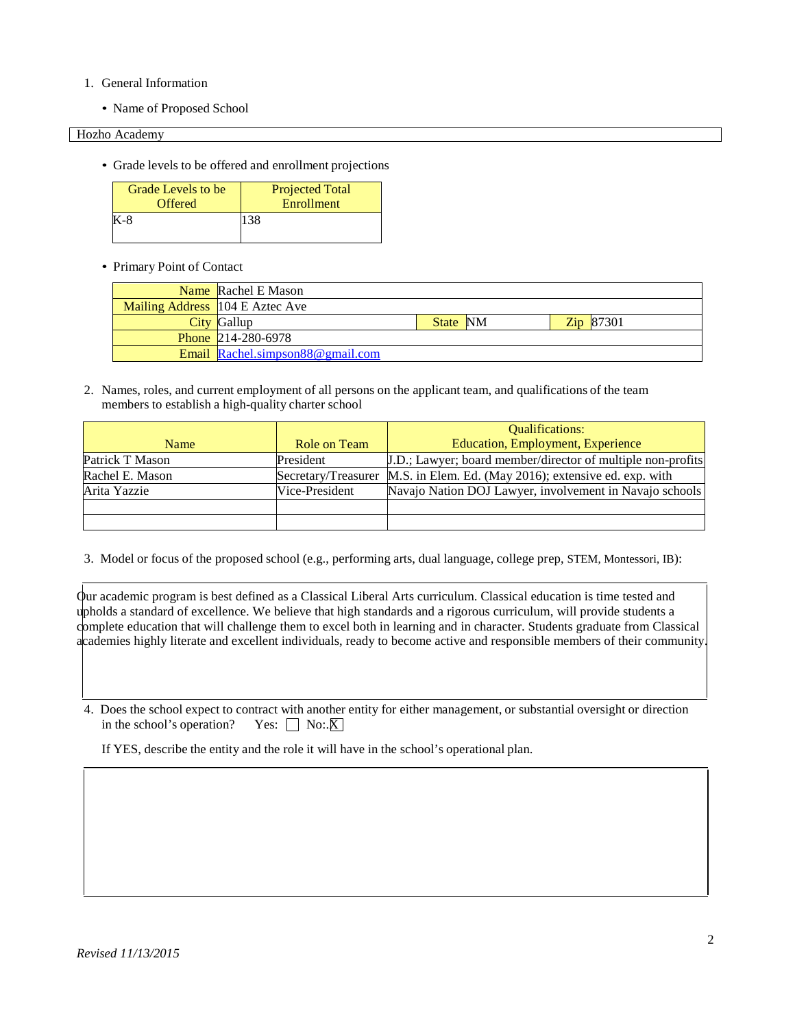- 1. General Information
	- Name of Proposed School

Hozho Academy

• Grade levels to be offered and enrollment projections

| Grade Levels to be | <b>Projected Total</b> |
|--------------------|------------------------|
| <b>Offered</b>     | Enrollment             |
| K-8                | 138                    |

## • Primary Point of Contact

| <b>Name</b> Rachel E Mason       |          |                  |
|----------------------------------|----------|------------------|
| Mailing Address 104 E Aztec Ave  |          |                  |
| City Gallup                      | State NM | <b>Zip</b> 87301 |
| <b>Phone 214-280-6978</b>        |          |                  |
| Email Rachel.simpson88@gmail.com |          |                  |

2. Names, roles, and current employment of all persons on the applicant team, and qualifications of the team members to establish a high-quality charter school

|                 |                | <b>Oualifications:</b>                                                    |
|-----------------|----------------|---------------------------------------------------------------------------|
| Name            | Role on Team   | <b>Education, Employment, Experience</b>                                  |
| Patrick T Mason | President      | J.D.; Lawyer; board member/director of multiple non-profits               |
| Rachel E. Mason |                | Secretary/Treasurer M.S. in Elem. Ed. (May 2016); extensive ed. exp. with |
| Arita Yazzie    | Vice-President | Navajo Nation DOJ Lawyer, involvement in Navajo schools                   |
|                 |                |                                                                           |
|                 |                |                                                                           |

3. Model or focus of the proposed school (e.g., performing arts, dual language, college prep, STEM, Montessori, IB):

Our academic program is best defined as a Classical Liberal Arts curriculum. Classical education is time tested and upholds a standard of excellence. We believe that high standards and a rigorous curriculum, will provide students a complete education that will challenge them to excel both in learning and in character. Students graduate from Classical academies highly literate and excellent individuals, ready to become active and responsible members of their community.

4. Does the school expect to contract with another entity for either management, or substantial oversight or direction in the school's operation? Yes:  $\Box$  No:. $\overline{X}$ ]

If YES, describe the entity and the role it will have in the school's operational plan.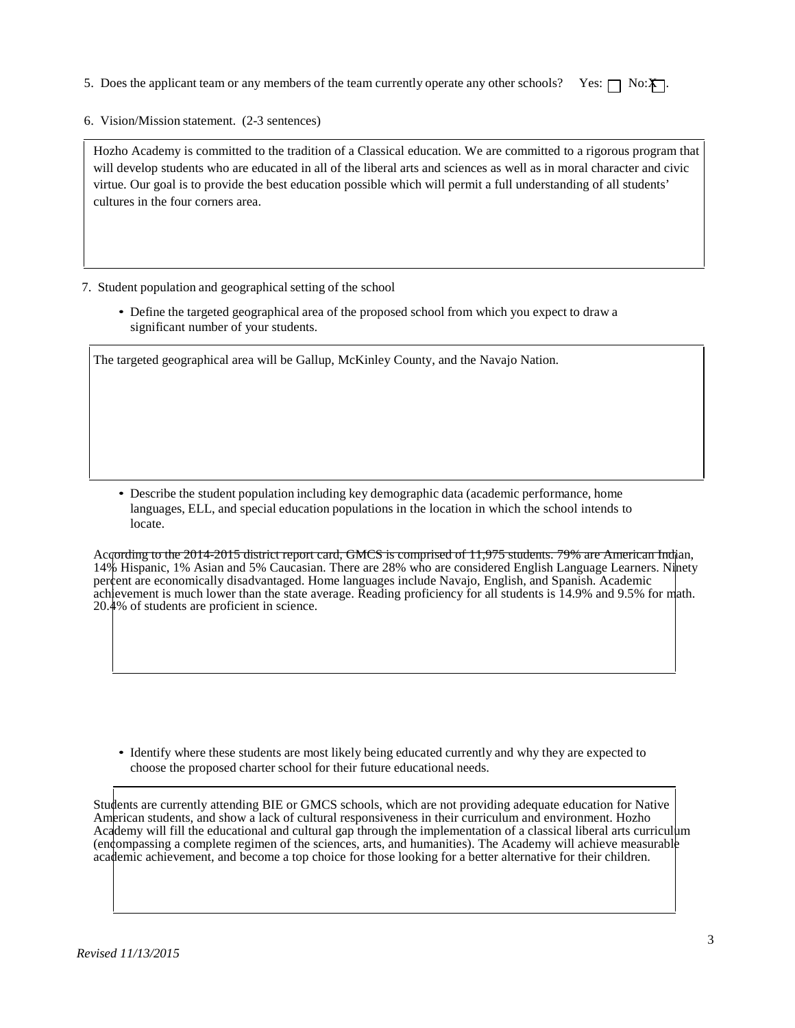- 5. Does the applicant team or any members of the team currently operate any other schools? Yes:  $\Box$  No: $\mathbf{\tilde{x}}$ .
- 6. Vision/Mission statement. (2-3 sentences)

Hozho Academy is committed to the tradition of a Classical education. We are committed to a rigorous program that will develop students who are educated in all of the liberal arts and sciences as well as in moral character and civic virtue. Our goal is to provide the best education possible which will permit a full understanding of all students' cultures in the four corners area.

- 7. Student population and geographical setting of the school
	- Define the targeted geographical area of the proposed school from which you expect to draw a significant number of your students.

The targeted geographical area will be Gallup, McKinley County, and the Navajo Nation.

• Describe the student population including key demographic data (academic performance, home languages, ELL, and special education populations in the location in which the school intends to locate.

According to the 2014-2015 district report card, GMCS is comprised of 11,975 students. 79% are American Indian, 14% Hispanic, 1% Asian and 5% Caucasian. There are 28% who are considered English Language Learners. Ninety percent are economically disadvantaged. Home languages include Navajo, English, and Spanish. Academic achievement is much lower than the state average. Reading proficiency for all students is 14.9% and 9.5% for math. 20.4% of students are proficient in science.

• Identify where these students are most likely being educated currently and why they are expected to choose the proposed charter school for their future educational needs.

Students are currently attending BIE or GMCS schools, which are not providing adequate education for Native American students, and show a lack of cultural responsiveness in their curriculum and environment. Hozho Academy will fill the educational and cultural gap through the implementation of a classical liberal arts curriculum (encompassing a complete regimen of the sciences, arts, and humanities). The Academy will achieve measurable academic achievement, and become a top choice for those looking for a better alternative for their children.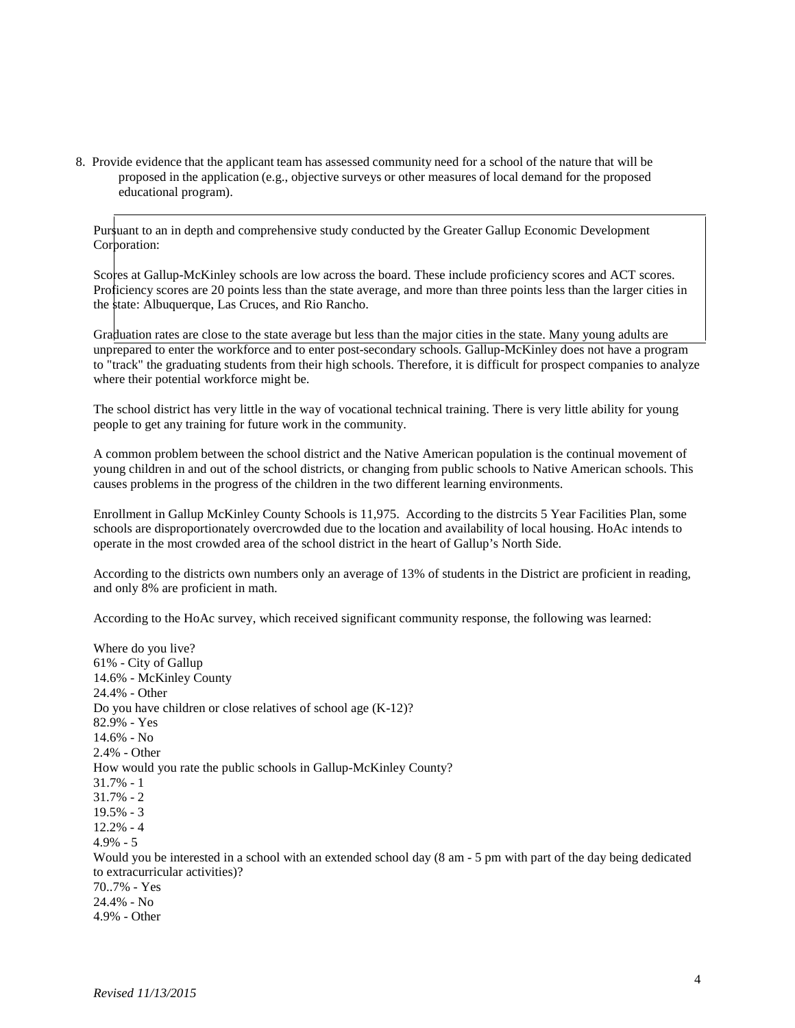8. Provide evidence that the applicant team has assessed community need for a school of the nature that will be proposed in the application (e.g., objective surveys or other measures of local demand for the proposed educational program).

Pursuant to an in depth and comprehensive study conducted by the Greater Gallup Economic Development Corporation:

Scores at Gallup-McKinley schools are low across the board. These include proficiency scores and ACT scores. Proficiency scores are 20 points less than the state average, and more than three points less than the larger cities in the state: Albuquerque, Las Cruces, and Rio Rancho.

Graduation rates are close to the state average but less than the major cities in the state. Many young adults are unprepared to enter the workforce and to enter post-secondary schools. Gallup-McKinley does not have a program to "track" the graduating students from their high schools. Therefore, it is difficult for prospect companies to analyze where their potential workforce might be.

The school district has very little in the way of vocational technical training. There is very little ability for young people to get any training for future work in the community.

A common problem between the school district and the Native American population is the continual movement of young children in and out of the school districts, or changing from public schools to Native American schools. This causes problems in the progress of the children in the two different learning environments.

Enrollment in Gallup McKinley County Schools is 11,975. According to the distrcits 5 Year Facilities Plan, some schools are disproportionately overcrowded due to the location and availability of local housing. HoAc intends to operate in the most crowded area of the school district in the heart of Gallup's North Side.

According to the districts own numbers only an average of 13% of students in the District are proficient in reading, and only 8% are proficient in math.

According to the HoAc survey, which received significant community response, the following was learned:

Where do you live? 61% - City of Gallup 14.6% - McKinley County 24.4% - Other Do you have children or close relatives of school age (K-12)? 82.9% - Yes 14.6% - No 2.4% - Other How would you rate the public schools in Gallup-McKinley County? 31.7% - 1 31.7% - 2 19.5% - 3 12.2% - 4 4.9% - 5 Would you be interested in a school with an extended school day (8 am - 5 pm with part of the day being dedicated to extracurricular activities)? 70..7% - Yes 24.4% - No 4.9% - Other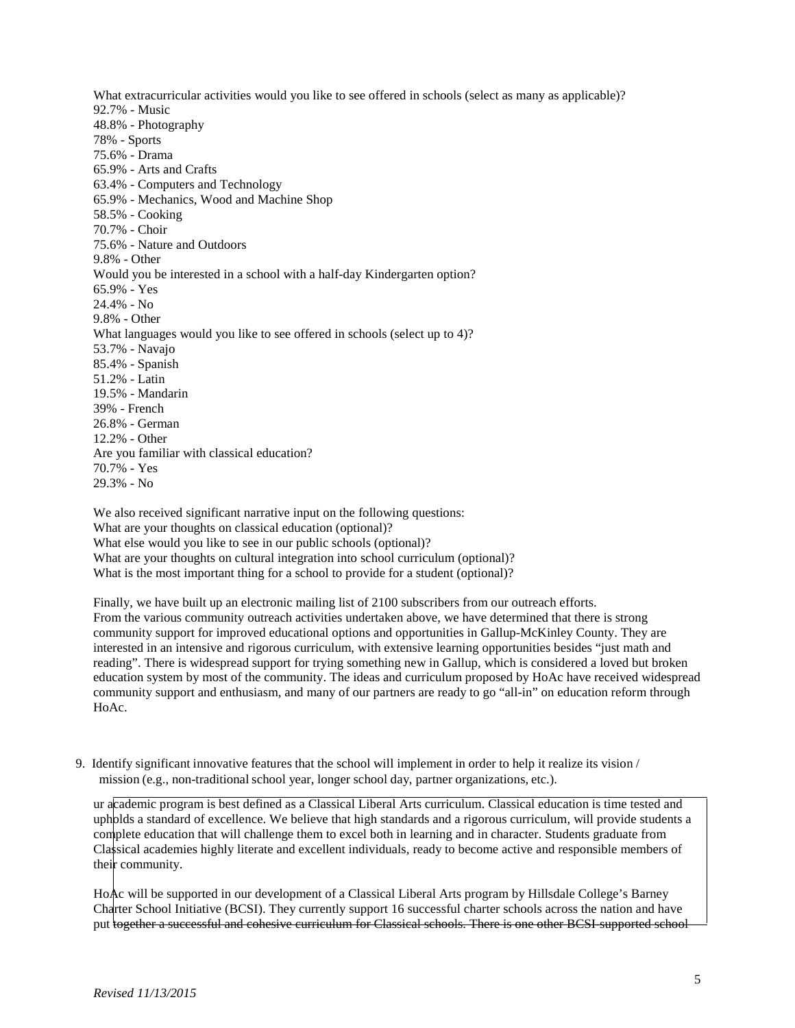What extracurricular activities would you like to see offered in schools (select as many as applicable)? 92.7% - Music 48.8% - Photography 78% - Sports 75.6% - Drama 65.9% - Arts and Crafts 63.4% - Computers and Technology 65.9% - Mechanics, Wood and Machine Shop 58.5% - Cooking 70.7% - Choir 75.6% - Nature and Outdoors 9.8% - Other Would you be interested in a school with a half-day Kindergarten option? 65.9% - Yes 24.4% - No 9.8% - Other What languages would you like to see offered in schools (select up to 4)? 53.7% - Navajo 85.4% - Spanish 51.2% - Latin 19.5% - Mandarin 39% - French 26.8% - German 12.2% - Other Are you familiar with classical education? 70.7% - Yes 29.3% - No

We also received significant narrative input on the following questions: What are your thoughts on classical education (optional)? What else would you like to see in our public schools (optional)? What are your thoughts on cultural integration into school curriculum (optional)? What is the most important thing for a school to provide for a student (optional)?

Finally, we have built up an electronic mailing list of 2100 subscribers from our outreach efforts. From the various community outreach activities undertaken above, we have determined that there is strong community support for improved educational options and opportunities in Gallup-McKinley County. They are interested in an intensive and rigorous curriculum, with extensive learning opportunities besides "just math and reading". There is widespread support for trying something new in Gallup, which is considered a loved but broken education system by most of the community. The ideas and curriculum proposed by HoAc have received widespread community support and enthusiasm, and many of our partners are ready to go "all-in" on education reform through HoAc.

9. Identify significant innovative features that the school will implement in order to help it realize its vision / mission (e.g., non-traditional school year, longer school day, partner organizations, etc.).

ur academic program is best defined as a Classical Liberal Arts curriculum. Classical education is time tested and upholds a standard of excellence. We believe that high standards and a rigorous curriculum, will provide students a complete education that will challenge them to excel both in learning and in character. Students graduate from Classical academies highly literate and excellent individuals, ready to become active and responsible members of their community.

HoAc will be supported in our development of a Classical Liberal Arts program by Hillsdale College's Barney Charter School Initiative (BCSI). They currently support 16 successful charter schools across the nation and have put together a successful and cohesive curriculum for Classical schools. There is one other BCSI-supported school